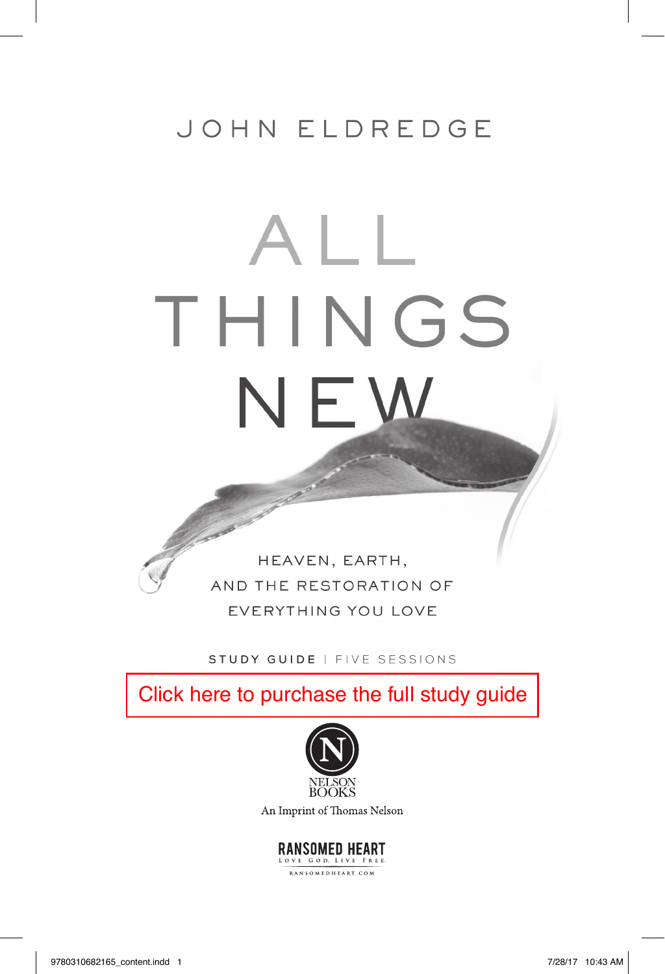# JOHN ELDREDGE

# $\Box$ THINGS NEW

HEAVEN, EARTH, AND THE RESTORATION OF EVERYTHING YOU LOVE

STUDY GUIDE | FIVE SESSIONS

[Click here to purchase the full study guide](https://www.churchsource.com/all-things-new-series?utm_source=studygatewayobs&utm_medium=pdfdownload&utm_campaign=atnobs)



An Imprint of Thomas Nelson



**NSOMEDHEART COM**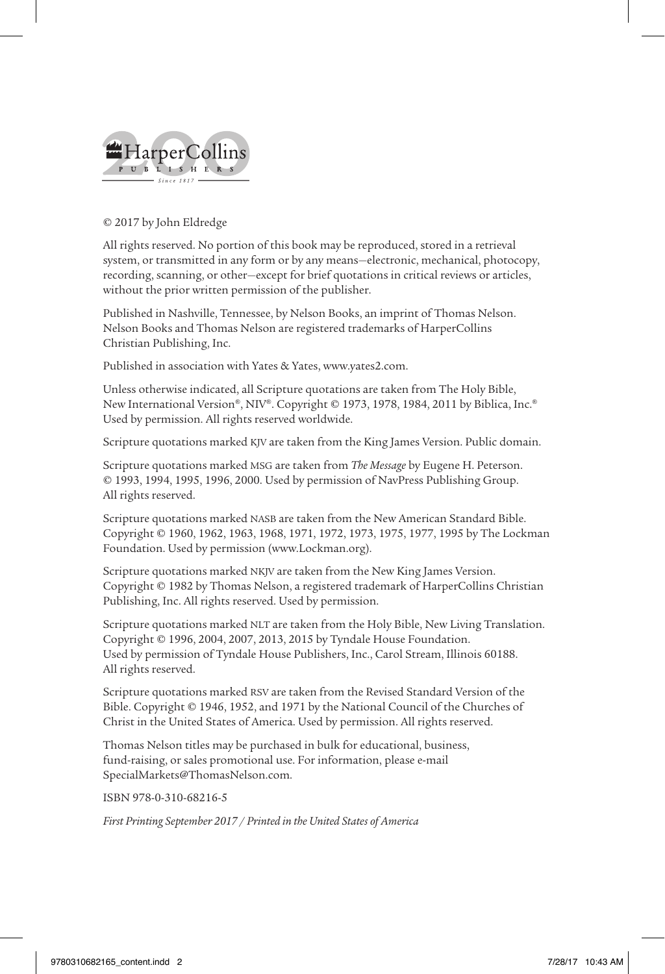

© 2017 by John Eldredge

All rights reserved. No portion of this book may be reproduced, stored in a retrieval system, or transmitted in any form or by any means—electronic, mechanical, photocopy, recording, scanning, or other—except for brief quotations in critical reviews or articles, without the prior written permission of the publisher.

Published in Nashville, Tennessee, by Nelson Books, an imprint of Thomas Nelson. Nelson Books and Thomas Nelson are registered trademarks of HarperCollins Christian Publishing, Inc.

Published in association with Yates & Yates, www.yates2.com.

Unless otherwise indicated, all Scripture quotations are taken from The Holy Bible, New International Version®, NIV®. Copyright © 1973, 1978, 1984, 2011 by Biblica, Inc.® Used by permission. All rights reserved worldwide.

Scripture quotations marked kjv are taken from the King James Version. Public domain.

Scripture quotations marked msg are taken from *The Message* by Eugene H. Peterson. © 1993, 1994, 1995, 1996, 2000. Used by permission of NavPress Publishing Group. All rights reserved.

Scripture quotations marked NASB are taken from the New American Standard Bible. Copyright © 1960, 1962, 1963, 1968, 1971, 1972, 1973, 1975, 1977, 1995 by The Lockman Foundation. Used by permission (www.Lockman.org).

Scripture quotations marked nkjv are taken from the New King James Version. Copyright © 1982 by Thomas Nelson, a registered trademark of HarperCollins Christian Publishing, Inc. All rights reserved. Used by permission.

Scripture quotations marked NLT are taken from the Holy Bible, New Living Translation. Copyright © 1996, 2004, 2007, 2013, 2015 by Tyndale House Foundation. Used by permission of Tyndale House Publishers, Inc., Carol Stream, Illinois 60188. All rights reserved.

Scripture quotations marked RSV are taken from the Revised Standard Version of the Bible. Copyright © 1946, 1952, and 1971 by the National Council of the Churches of Christ in the United States of America. Used by permission. All rights reserved.

Thomas Nelson titles may be purchased in bulk for educational, business, fund-raising, or sales promotional use. For information, please e-mail SpecialMarkets@ThomasNelson.com.

ISBN 978-0-310-68216-5

*First Printing September 2017 / Printed in the United States of America*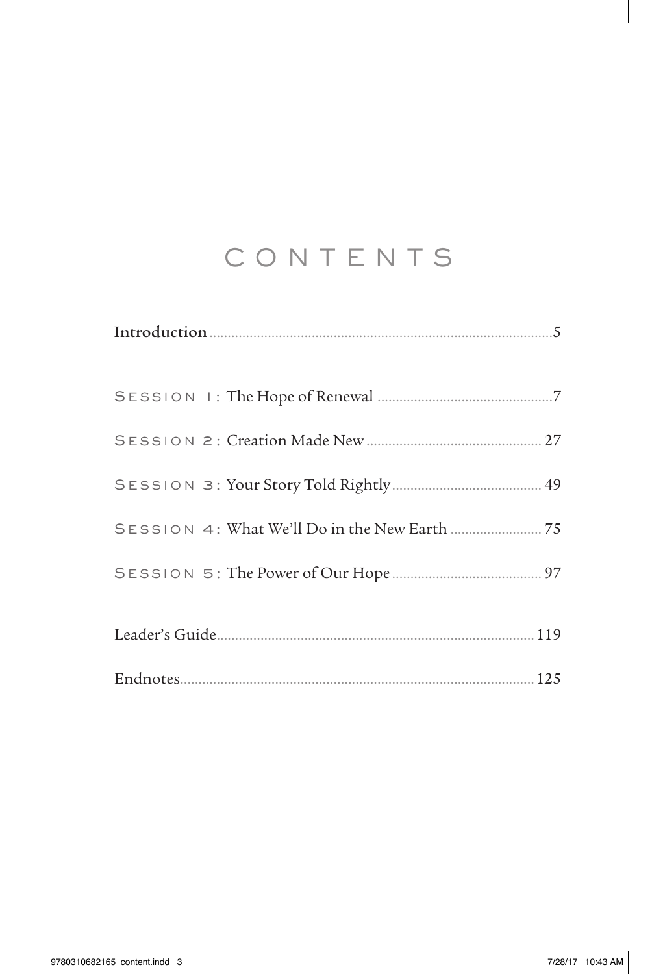# CONTENTS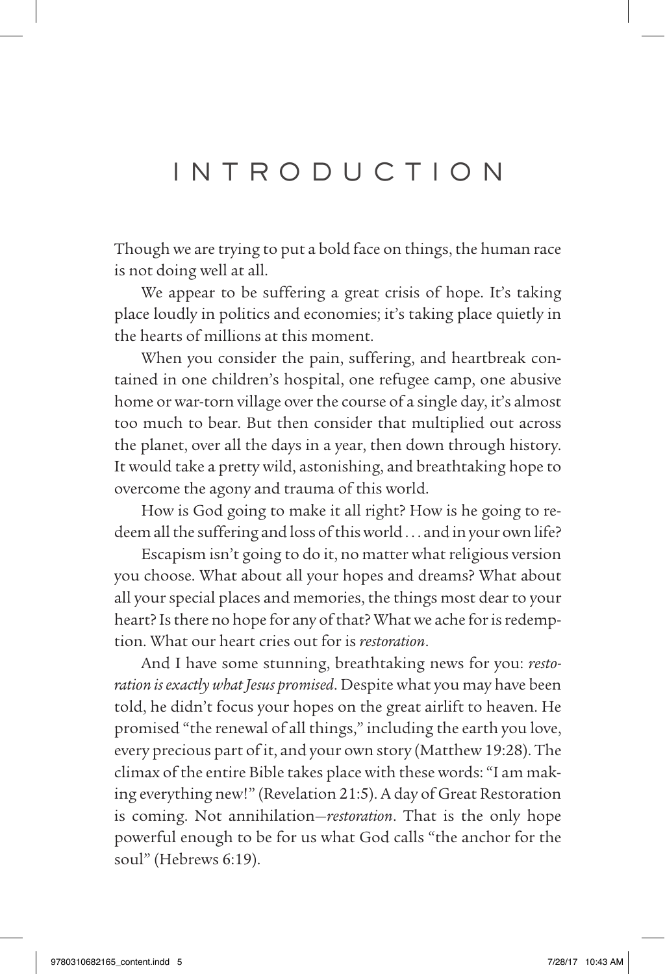# INTRODUCTION

Though we are trying to put a bold face on things, the human race is not doing well at all.

We appear to be suffering a great crisis of hope. It's taking place loudly in politics and economies; it's taking place quietly in the hearts of millions at this moment.

When you consider the pain, suffering, and heartbreak contained in one children's hospital, one refugee camp, one abusive home or war-torn village over the course of a single day, it's almost too much to bear. But then consider that multiplied out across the planet, over all the days in a year, then down through history. It would take a pretty wild, astonishing, and breathtaking hope to overcome the agony and trauma of this world.

How is God going to make it all right? How is he going to redeem all the suffering and loss of this world . . . and in your own life?

Escapism isn't going to do it, no matter what religious version you choose. What about all your hopes and dreams? What about all your special places and memories, the things most dear to your heart? Is there no hope for any of that? What we ache for is redemption. What our heart cries out for is *restoration*.

And I have some stunning, breathtaking news for you: *restoration is exactly what Jesus promised*. Despite what you may have been told, he didn't focus your hopes on the great airlift to heaven. He promised "the renewal of all things," including the earth you love, every precious part of it, and your own story (Matthew 19:28). The climax of the entire Bible takes place with these words: "I am making everything new!" (Revelation 21:5). A day of Great Restoration is coming. Not annihilation—*restoration*. That is the only hope powerful enough to be for us what God calls "the anchor for the soul" (Hebrews 6:19).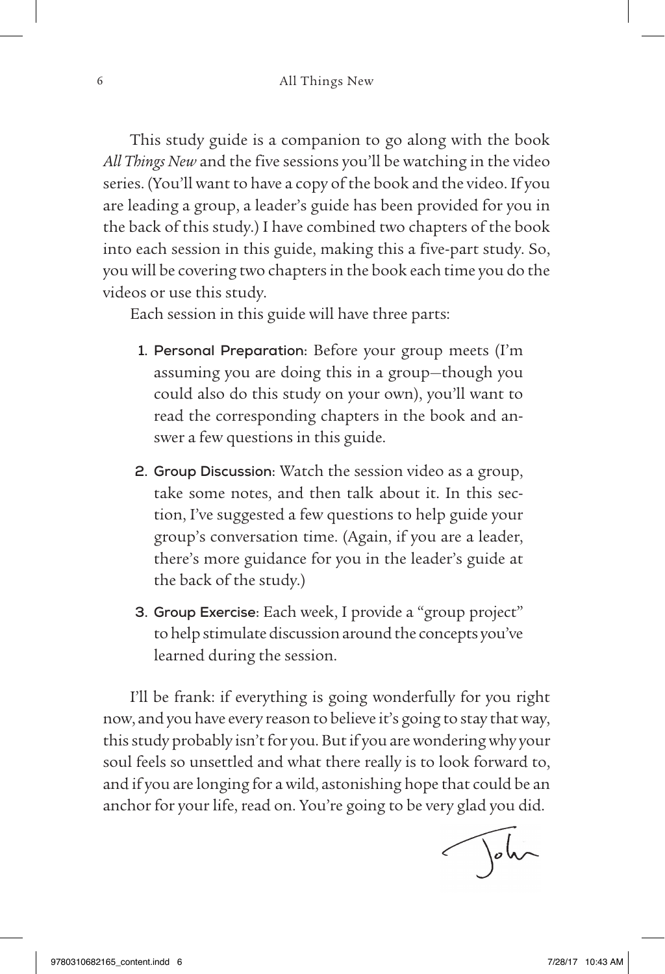This study guide is a companion to go along with the book *All Things New* and the five sessions you'll be watching in the video series. (You'll want to have a copy of the book and the video. If you are leading a group, a leader's guide has been provided for you in the back of this study.) I have combined two chapters of the book into each session in this guide, making this a five-part study. So, you will be covering two chapters in the book each time you do the videos or use this study.

Each session in this guide will have three parts:

- **1. Personal Preparation:** Before your group meets (I'm assuming you are doing this in a group—though you could also do this study on your own), you'll want to read the corresponding chapters in the book and answer a few questions in this guide.
- **2. Group Discussion:** Watch the session video as a group, take some notes, and then talk about it. In this section, I've suggested a few questions to help guide your group's conversation time. (Again, if you are a leader, there's more guidance for you in the leader's guide at the back of the study.)
- **3. Group Exercise:** Each week, I provide a "group project" to help stimulate discussion around the concepts you've learned during the session.

I'll be frank: if everything is going wonderfully for you right now, and you have every reason to believe it's going to stay that way, this study probably isn't for you. But if you are wondering why your soul feels so unsettled and what there really is to look forward to, and if you are longing for a wild, astonishing hope that could be an anchor for your life, read on. You're going to be very glad you did.

 $\sqrt{\mathstrut\text{ob}}$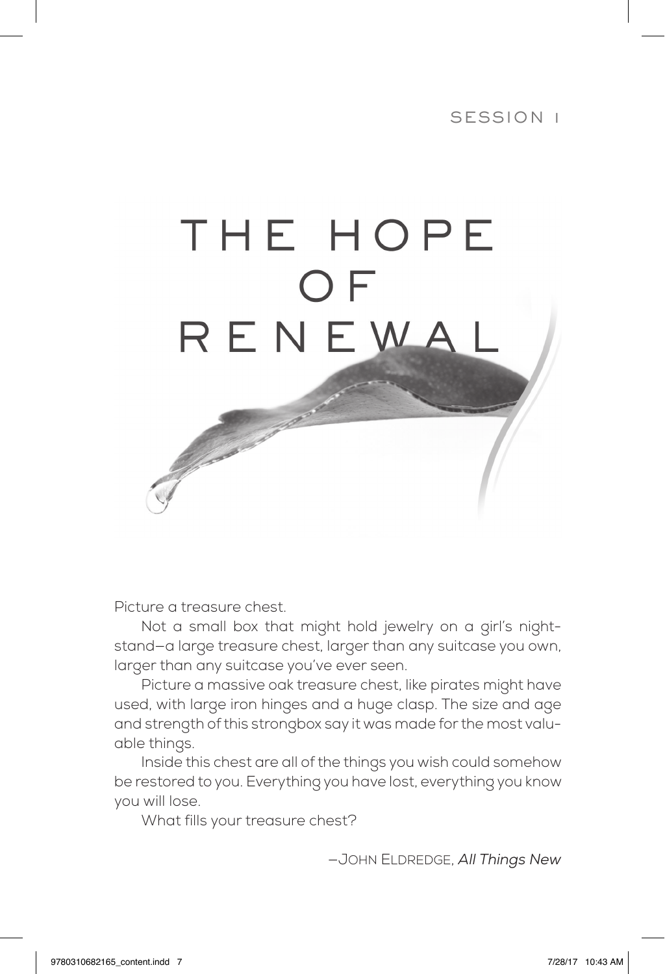

Picture a treasure chest.

Not a small box that might hold jewelry on a girl's nightstand—a large treasure chest, larger than any suitcase you own, larger than any suitcase you've ever seen.

Picture a massive oak treasure chest, like pirates might have used, with large iron hinges and a huge clasp. The size and age and strength of this strongbox say it was made for the most valuable things.

Inside this chest are all of the things you wish could somehow be restored to you. Everything you have lost, everything you know you will lose.

What fills your treasure chest?

—John Eldredge, *All Things New*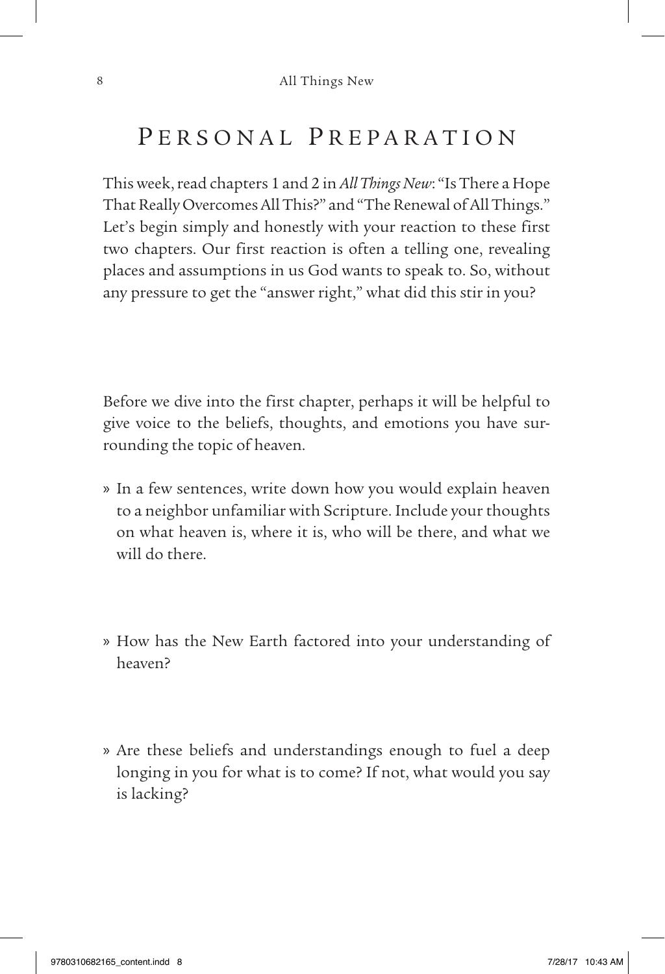## PERSONAL PREPARATION

This week, read chapters 1 and 2 in *All Things New*: "Is There a Hope That Really Overcomes All This?" and "The Renewal of All Things." Let's begin simply and honestly with your reaction to these first two chapters. Our first reaction is often a telling one, revealing places and assumptions in us God wants to speak to. So, without any pressure to get the "answer right," what did this stir in you?

Before we dive into the first chapter, perhaps it will be helpful to give voice to the beliefs, thoughts, and emotions you have surrounding the topic of heaven.

- » In a few sentences, write down how you would explain heaven to a neighbor unfamiliar with Scripture. Include your thoughts on what heaven is, where it is, who will be there, and what we will do there.
- » How has the New Earth factored into your understanding of heaven?
- » Are these beliefs and understandings enough to fuel a deep longing in you for what is to come? If not, what would you say is lacking?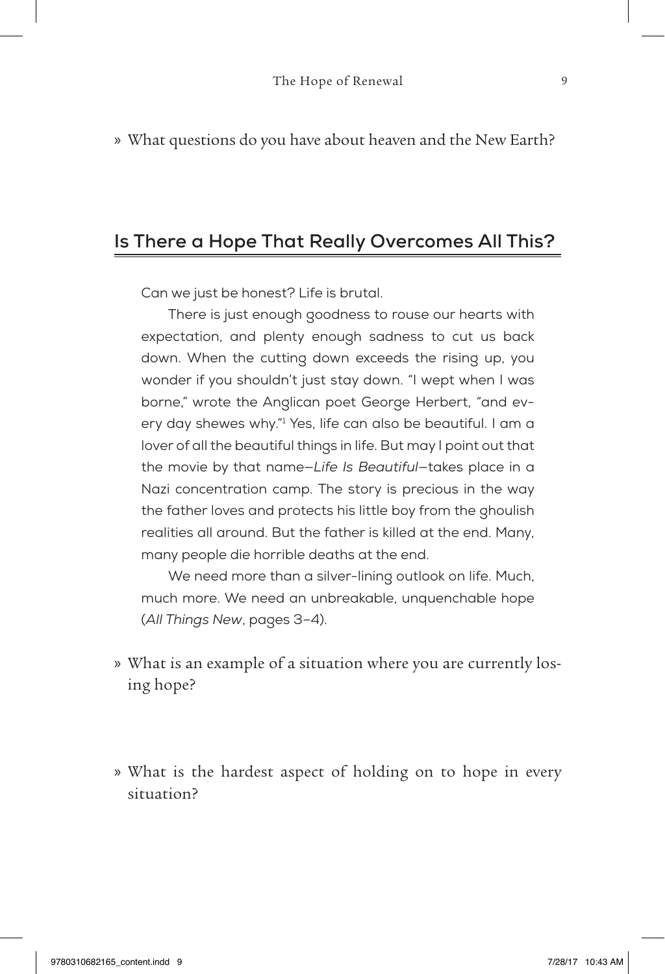## **Is There a Hope That Really Overcomes All This?**

Can we just be honest? Life is brutal.

There is just enough goodness to rouse our hearts with expectation, and plenty enough sadness to cut us back down. When the cutting down exceeds the rising up, you wonder if you shouldn't just stay down. "I wept when I was borne," wrote the Anglican poet George Herbert, "and every day shewes why."<sup>1</sup> Yes, life can also be beautiful. I am a lover of all the beautiful things in life. But may I point out that the movie by that name—*Life Is Beautiful*—takes place in a Nazi concentration camp. The story is precious in the way the father loves and protects his little boy from the ghoulish realities all around. But the father is killed at the end. Many, many people die horrible deaths at the end.

We need more than a silver-lining outlook on life. Much, much more. We need an unbreakable, unquenchable hope (*All Things New*, pages 3–4).

- » What is an example of a situation where you are currently losing hope?
- » What is the hardest aspect of holding on to hope in every situation?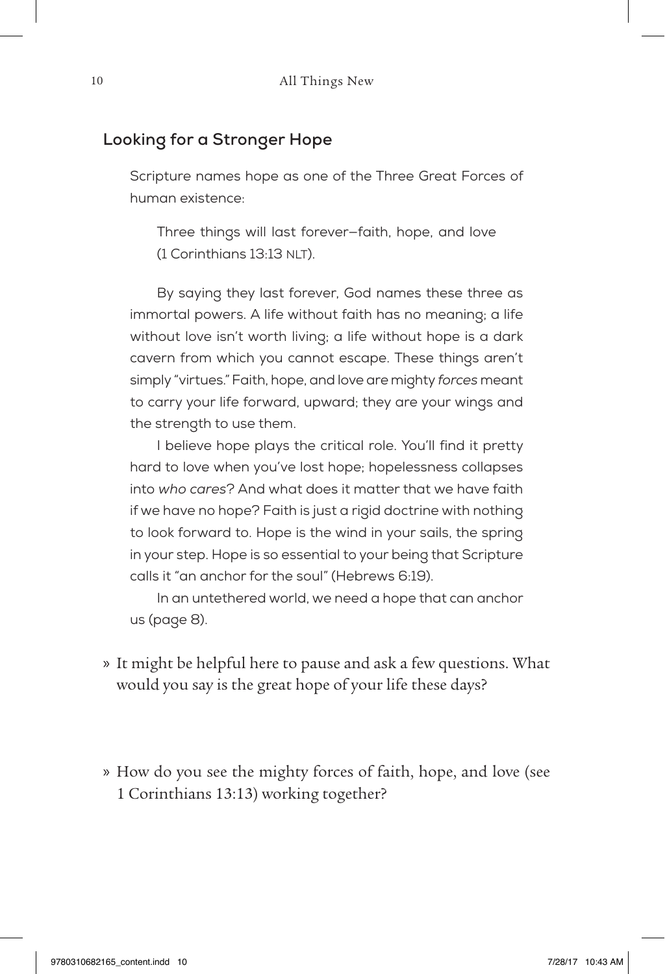#### **Looking for a Stronger Hope**

Scripture names hope as one of the Three Great Forces of human existence:

Three things will last forever—faith, hope, and love  $(1$  Corinthians  $13:13$  NIT).

By saying they last forever, God names these three as immortal powers. A life without faith has no meaning; a life without love isn't worth living; a life without hope is a dark cavern from which you cannot escape. These things aren't simply "virtues." Faith, hope, and love are mighty *forces* meant to carry your life forward, upward; they are your wings and the strength to use them.

I believe hope plays the critical role. You'll find it pretty hard to love when you've lost hope; hopelessness collapses into *who cares*? And what does it matter that we have faith if we have no hope? Faith is just a rigid doctrine with nothing to look forward to. Hope is the wind in your sails, the spring in your step. Hope is so essential to your being that Scripture calls it "an anchor for the soul" (Hebrews 6:19).

In an untethered world, we need a hope that can anchor us (page 8).

- » It might be helpful here to pause and ask a few questions. What would you say is the great hope of your life these days?
- » How do you see the mighty forces of faith, hope, and love (see 1 Corinthians 13:13) working together?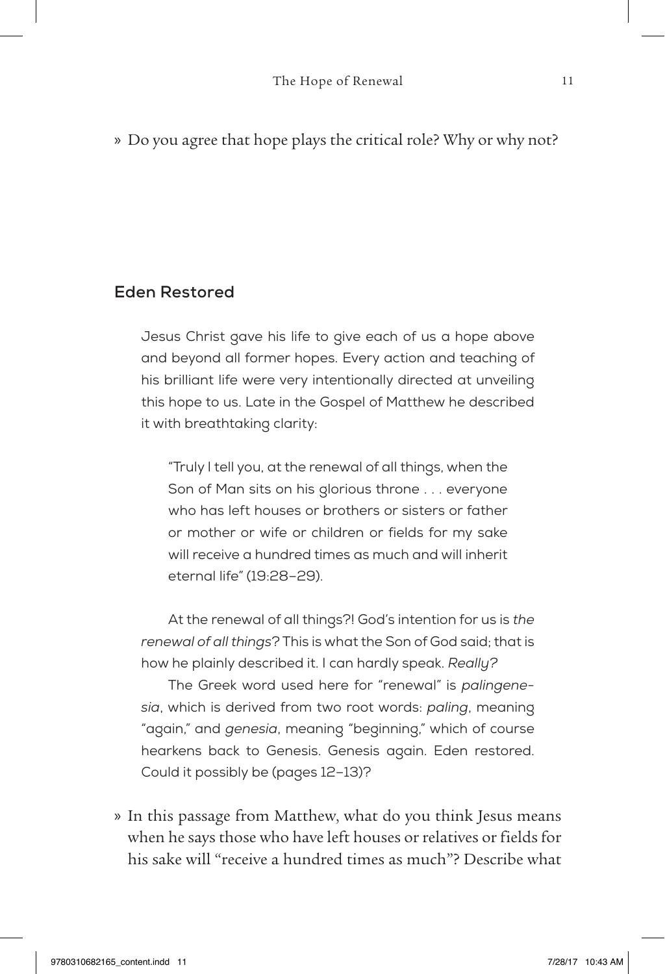» Do you agree that hope plays the critical role? Why or why not?

#### **Eden Restored**

Jesus Christ gave his life to give each of us a hope above and beyond all former hopes. Every action and teaching of his brilliant life were very intentionally directed at unveiling this hope to us. Late in the Gospel of Matthew he described it with breathtaking clarity:

"Truly I tell you, at the renewal of all things, when the Son of Man sits on his glorious throne . . . everyone who has left houses or brothers or sisters or father or mother or wife or children or fields for my sake will receive a hundred times as much and will inherit eternal life" (19:28–29).

At the renewal of all things?! God's intention for us is *the renewal of all things*? This is what the Son of God said; that is how he plainly described it. I can hardly speak. *Really?*

The Greek word used here for "renewal" is *palingenesia*, which is derived from two root words: *paling*, meaning "again," and *genesia*, meaning "beginning," which of course hearkens back to Genesis. Genesis again. Eden restored. Could it possibly be (pages 12–13)?

» In this passage from Matthew, what do you think Jesus means when he says those who have left houses or relatives or fields for his sake will "receive a hundred times as much"? Describe what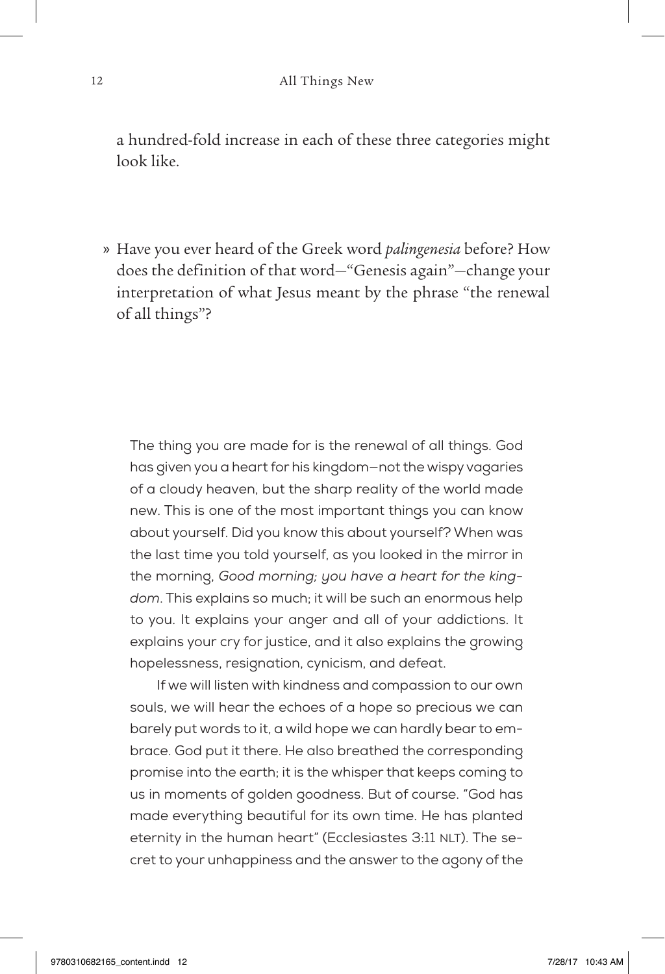a hundred-fold increase in each of these three categories might look like.

» Have you ever heard of the Greek word *palingenesia* before? How does the definition of that word—"Genesis again"—change your interpretation of what Jesus meant by the phrase "the renewal of all things"?

The thing you are made for is the renewal of all things. God has given you a heart for his kingdom—not the wispy vagaries of a cloudy heaven, but the sharp reality of the world made new. This is one of the most important things you can know about yourself. Did you know this about yourself? When was the last time you told yourself, as you looked in the mirror in the morning, *Good morning; you have a heart for the kingdom*. This explains so much; it will be such an enormous help to you. It explains your anger and all of your addictions. It explains your cry for justice, and it also explains the growing hopelessness, resignation, cynicism, and defeat.

If we will listen with kindness and compassion to our own souls, we will hear the echoes of a hope so precious we can barely put words to it, a wild hope we can hardly bear to embrace. God put it there. He also breathed the corresponding promise into the earth; it is the whisper that keeps coming to us in moments of golden goodness. But of course. "God has made everything beautiful for its own time. He has planted eternity in the human heart" (Ecclesiastes 3:11 NLT). The secret to your unhappiness and the answer to the agony of the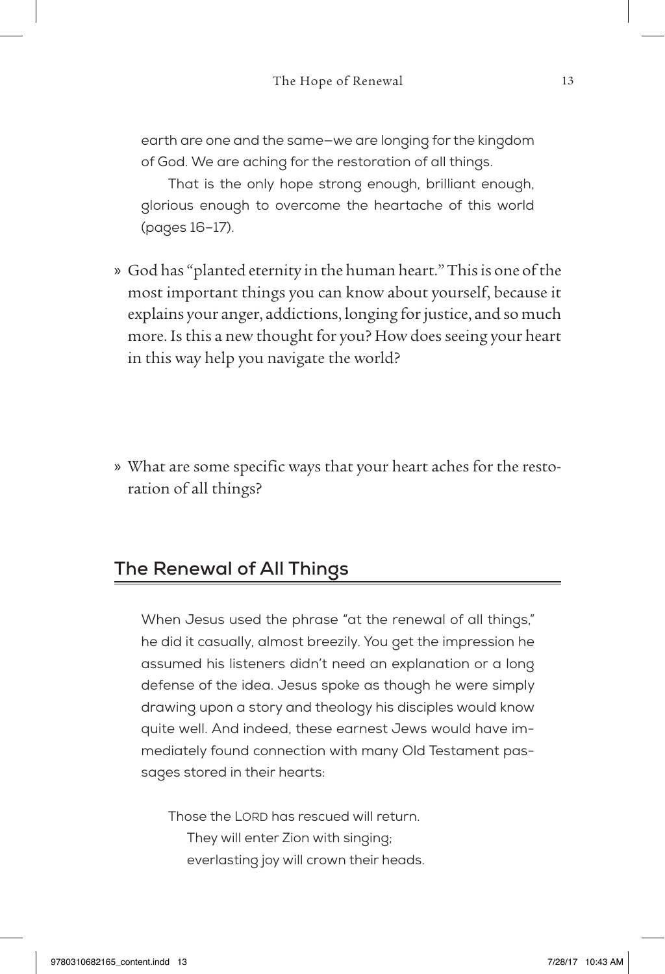earth are one and the same—we are longing for the kingdom of God. We are aching for the restoration of all things.

That is the only hope strong enough, brilliant enough, glorious enough to overcome the heartache of this world (pages 16–17).

- » God has "planted eternity in the human heart." This is one of the most important things you can know about yourself, because it explains your anger, addictions, longing for justice, and so much more. Is this a new thought for you? How does seeing your heart in this way help you navigate the world?
- » What are some specific ways that your heart aches for the restoration of all things?

## **The Renewal of All Things**

When Jesus used the phrase "at the renewal of all things," he did it casually, almost breezily. You get the impression he assumed his listeners didn't need an explanation or a long defense of the idea. Jesus spoke as though he were simply drawing upon a story and theology his disciples would know quite well. And indeed, these earnest Jews would have immediately found connection with many Old Testament passages stored in their hearts:

Those the LORD has rescued will return. They will enter Zion with singing; everlasting joy will crown their heads.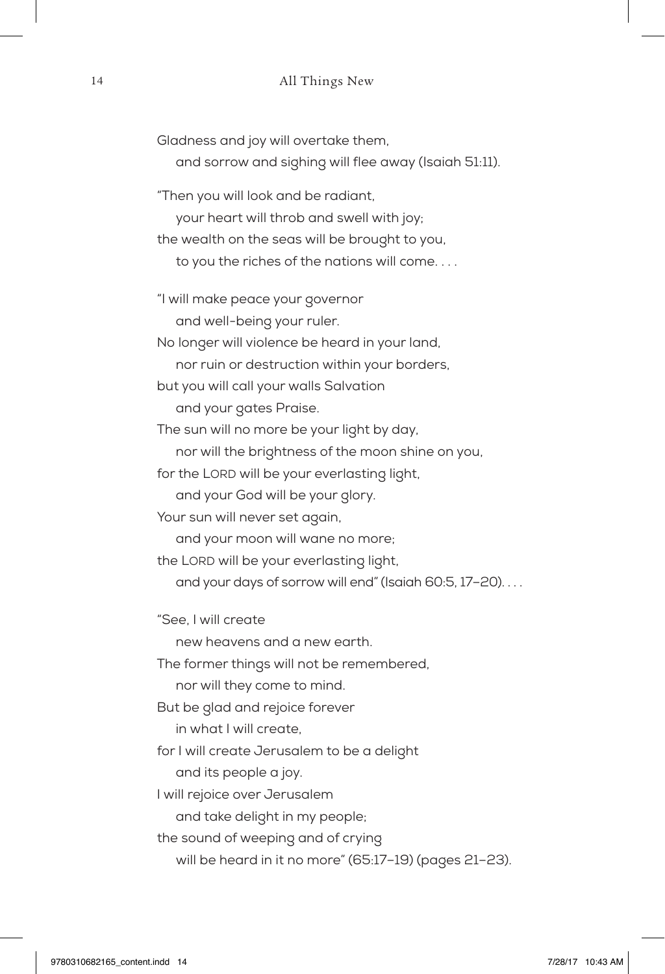Gladness and joy will overtake them, and sorrow and sighing will flee away (Isaiah 51:11). "Then you will look and be radiant, your heart will throb and swell with joy; the wealth on the seas will be brought to you, to you the riches of the nations will come. . . . "I will make peace your governor and well-being your ruler. No longer will violence be heard in your land, nor ruin or destruction within your borders, but you will call your walls Salvation and your gates Praise. The sun will no more be your light by day, nor will the brightness of the moon shine on you, for the LORD will be your everlasting light, and your God will be your glory. Your sun will never set again, and your moon will wane no more; the LORD will be your everlasting light, and your days of sorrow will end" (Isaiah 60:5, 17–20). . . . "See, I will create new heavens and a new earth. The former things will not be remembered, nor will they come to mind. But be glad and rejoice forever in what I will create, for I will create Jerusalem to be a delight and its people a joy. I will rejoice over Jerusalem and take delight in my people; the sound of weeping and of crying will be heard in it no more" (65:17–19) (pages 21–23).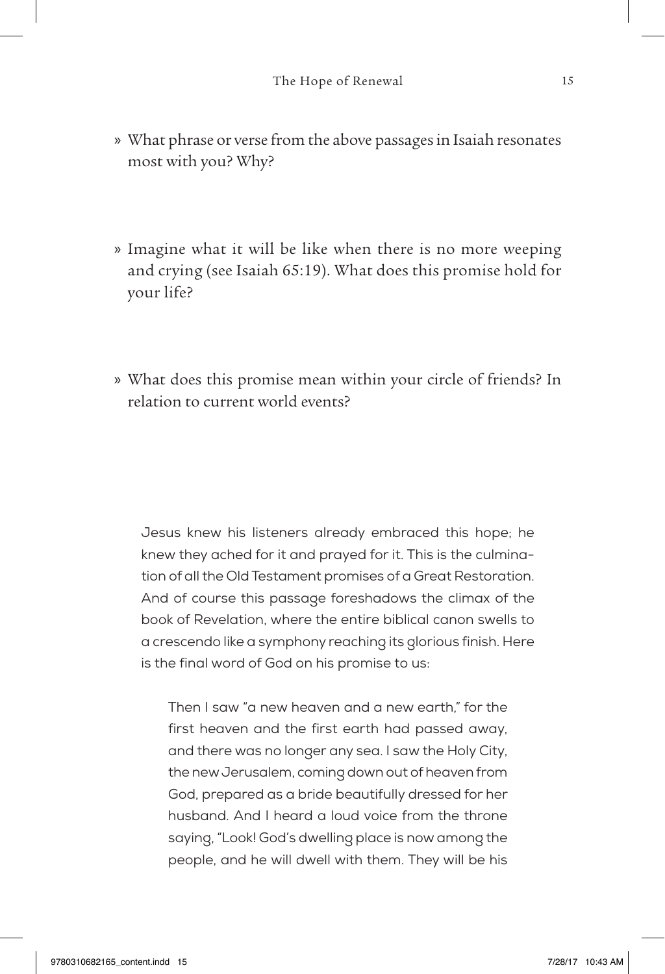- » What phrase or verse from the above passages in Isaiah resonates most with you? Why?
- » Imagine what it will be like when there is no more weeping and crying (see Isaiah 65:19). What does this promise hold for your life?
- » What does this promise mean within your circle of friends? In relation to current world events?

Jesus knew his listeners already embraced this hope; he knew they ached for it and prayed for it. This is the culmination of all the Old Testament promises of a Great Restoration. And of course this passage foreshadows the climax of the book of Revelation, where the entire biblical canon swells to a crescendo like a symphony reaching its glorious finish. Here is the final word of God on his promise to us:

Then I saw "a new heaven and a new earth," for the first heaven and the first earth had passed away, and there was no longer any sea. I saw the Holy City, the new Jerusalem, coming down out of heaven from God, prepared as a bride beautifully dressed for her husband. And I heard a loud voice from the throne saying, "Look! God's dwelling place is now among the people, and he will dwell with them. They will be his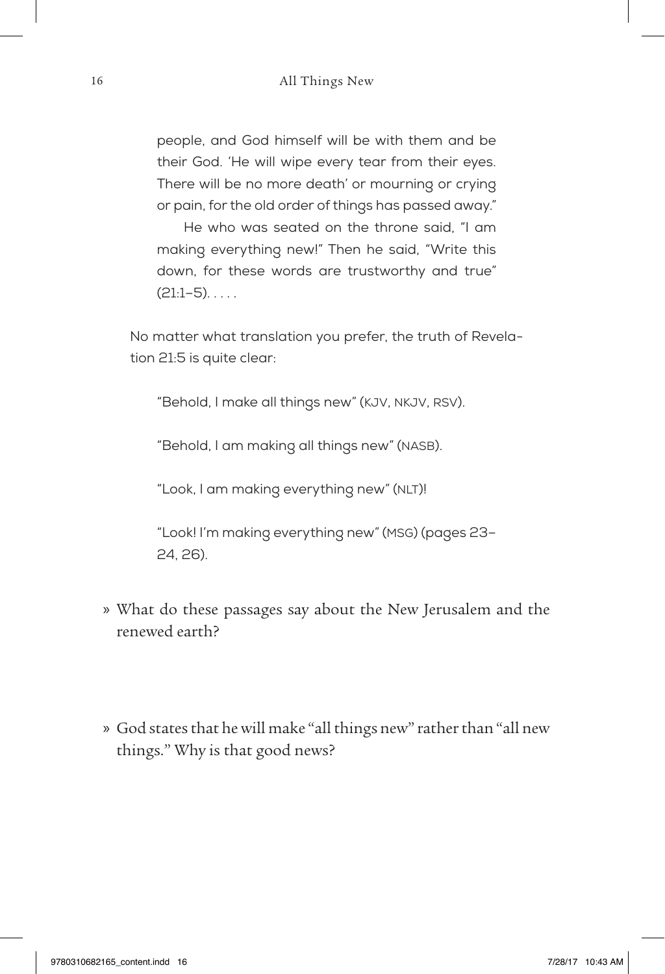people, and God himself will be with them and be their God. 'He will wipe every tear from their eyes. There will be no more death' or mourning or crying or pain, for the old order of things has passed away."

He who was seated on the throne said, "I am making everything new!" Then he said, "Write this down, for these words are trustworthy and true"  $(21:1-5)$ . . . . .

No matter what translation you prefer, the truth of Revelation 21:5 is quite clear:

"Behold, I make all things new" (KJV, NKJV, RSV).

"Behold, I am making all things new" (nasb).

"Look, I am making everything new" (NLT)!

"Look! I'm making everything new" (msg) (pages 23– 24, 26).

- » What do these passages say about the New Jerusalem and the renewed earth?
- » God states that he will make "all things new" rather than "all new things." Why is that good news?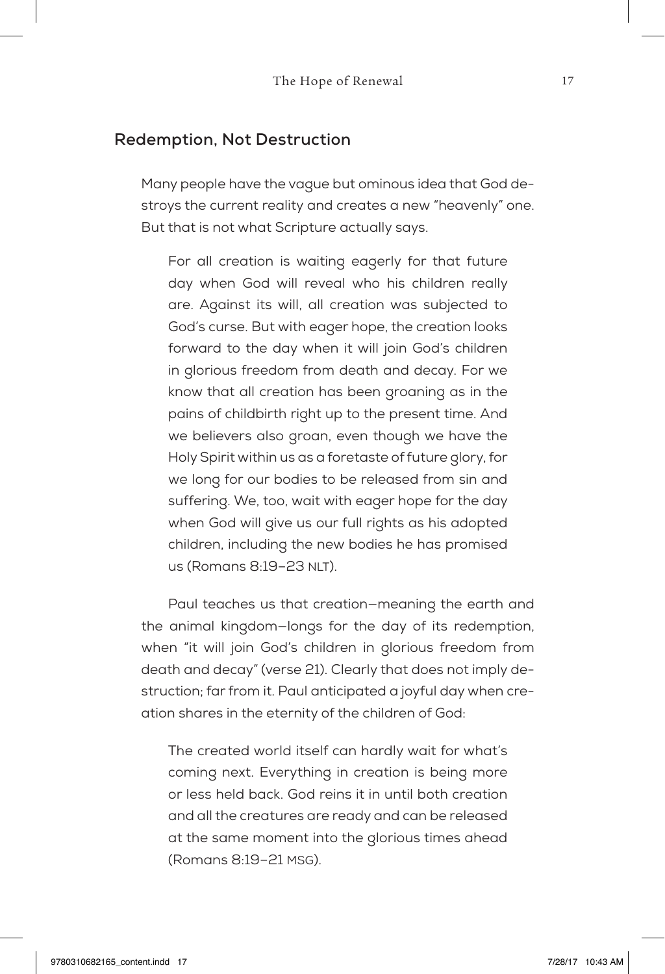#### **Redemption, Not Destruction**

Many people have the vague but ominous idea that God destroys the current reality and creates a new "heavenly" one. But that is not what Scripture actually says.

For all creation is waiting eagerly for that future day when God will reveal who his children really are. Against its will, all creation was subjected to God's curse. But with eager hope, the creation looks forward to the day when it will join God's children in glorious freedom from death and decay. For we know that all creation has been groaning as in the pains of childbirth right up to the present time. And we believers also groan, even though we have the Holy Spirit within us as a foretaste of future glory, for we long for our bodies to be released from sin and suffering. We, too, wait with eager hope for the day when God will give us our full rights as his adopted children, including the new bodies he has promised us (Romans 8:19-23 NLT).

Paul teaches us that creation—meaning the earth and the animal kingdom—longs for the day of its redemption, when "it will join God's children in glorious freedom from death and decay" (verse 21). Clearly that does not imply destruction; far from it. Paul anticipated a joyful day when creation shares in the eternity of the children of God:

The created world itself can hardly wait for what's coming next. Everything in creation is being more or less held back. God reins it in until both creation and all the creatures are ready and can be released at the same moment into the glorious times ahead (Romans 8:19–21 msg).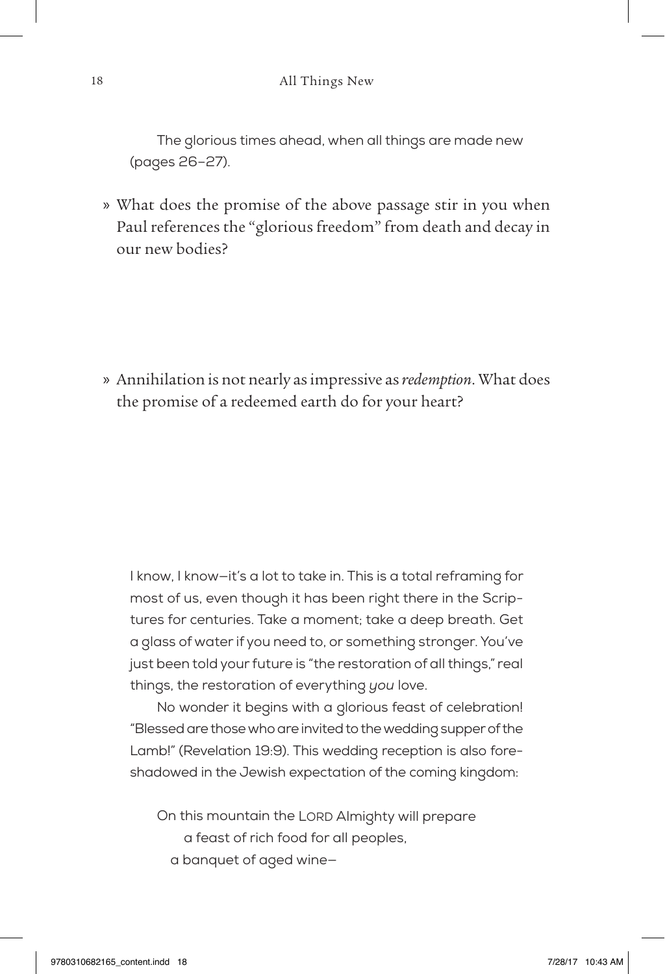The glorious times ahead, when all things are made new (pages 26–27).

» What does the promise of the above passage stir in you when Paul references the "glorious freedom" from death and decay in our new bodies?

» Annihilation is not nearly as impressive as *redemption*. What does the promise of a redeemed earth do for your heart?

I know, I know—it's a lot to take in. This is a total reframing for most of us, even though it has been right there in the Scriptures for centuries. Take a moment; take a deep breath. Get a glass of water if you need to, or something stronger. You've just been told your future is "the restoration of all things," real things, the restoration of everything *you* love.

No wonder it begins with a glorious feast of celebration! "Blessed are those who are invited to the wedding supper of the Lamb!" (Revelation 19:9). This wedding reception is also foreshadowed in the Jewish expectation of the coming kingdom:

On this mountain the LORD Almighty will prepare a feast of rich food for all peoples, a banquet of aged wine—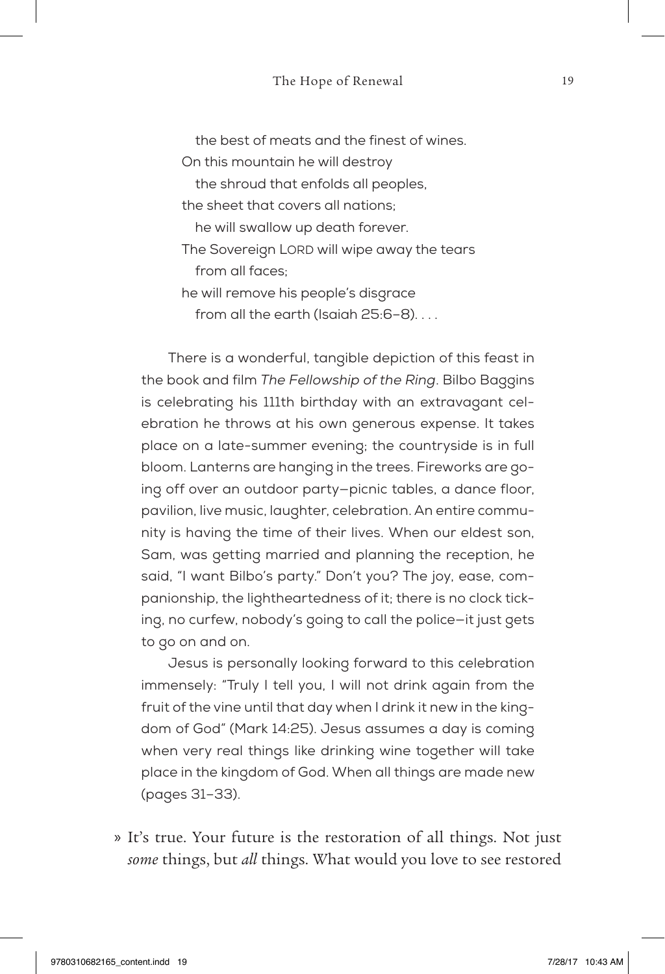the best of meats and the finest of wines. On this mountain he will destroy the shroud that enfolds all peoples, the sheet that covers all nations; he will swallow up death forever. The Sovereign LORD will wipe away the tears from all faces; he will remove his people's disgrace from all the earth (Isaiah 25:6-8)...

There is a wonderful, tangible depiction of this feast in the book and film *The Fellowship of the Ring*. Bilbo Baggins is celebrating his 111th birthday with an extravagant celebration he throws at his own generous expense. It takes place on a late-summer evening; the countryside is in full bloom. Lanterns are hanging in the trees. Fireworks are going off over an outdoor party—picnic tables, a dance floor, pavilion, live music, laughter, celebration. An entire community is having the time of their lives. When our eldest son, Sam, was getting married and planning the reception, he said, "I want Bilbo's party." Don't you? The joy, ease, companionship, the lightheartedness of it; there is no clock ticking, no curfew, nobody's going to call the police—it just gets to go on and on.

Jesus is personally looking forward to this celebration immensely: "Truly I tell you, I will not drink again from the fruit of the vine until that day when I drink it new in the kingdom of God" (Mark 14:25). Jesus assumes a day is coming when very real things like drinking wine together will take place in the kingdom of God. When all things are made new (pages 31–33).

» It's true. Your future is the restoration of all things. Not just *some* things, but *all* things. What would you love to see restored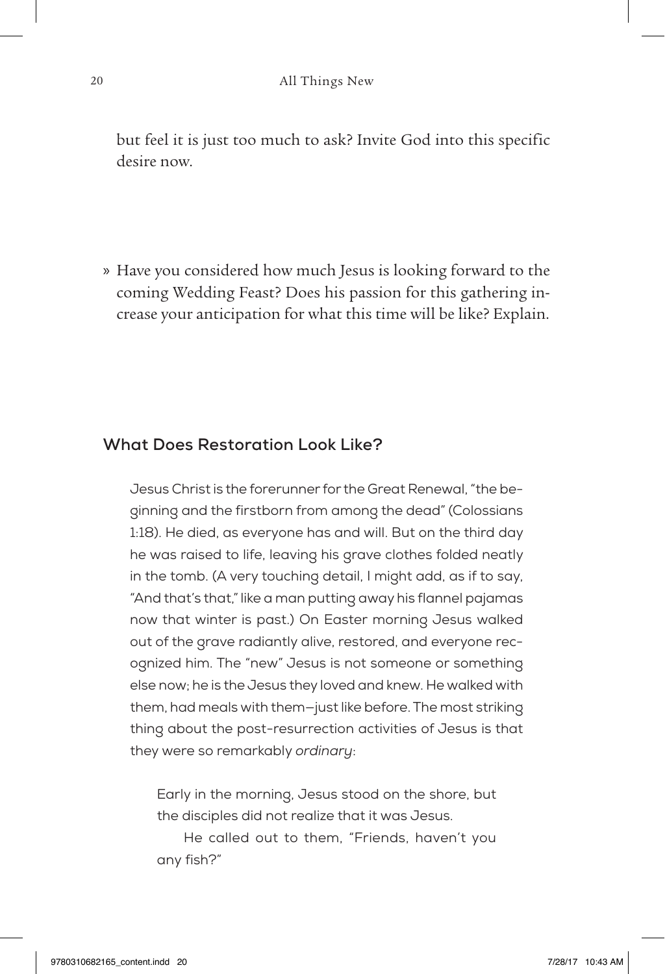but feel it is just too much to ask? Invite God into this specific desire now.

» Have you considered how much Jesus is looking forward to the coming Wedding Feast? Does his passion for this gathering increase your anticipation for what this time will be like? Explain.

#### **What Does Restoration Look Like?**

Jesus Christ is the forerunner for the Great Renewal, "the beginning and the firstborn from among the dead" (Colossians 1:18). He died, as everyone has and will. But on the third day he was raised to life, leaving his grave clothes folded neatly in the tomb. (A very touching detail, I might add, as if to say, "And that's that," like a man putting away his flannel pajamas now that winter is past.) On Easter morning Jesus walked out of the grave radiantly alive, restored, and everyone recognized him. The "new" Jesus is not someone or something else now; he is the Jesus they loved and knew. He walked with them, had meals with them—just like before. The most striking thing about the post-resurrection activities of Jesus is that they were so remarkably *ordinary*:

Early in the morning, Jesus stood on the shore, but the disciples did not realize that it was Jesus.

He called out to them, "Friends, haven't you any fish?"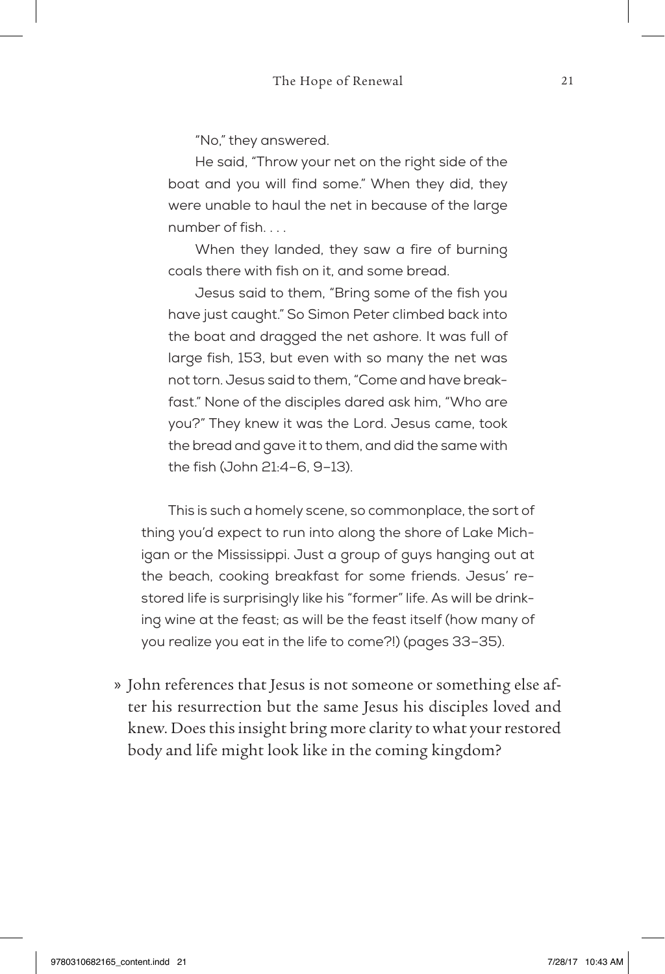"No," they answered.

He said, "Throw your net on the right side of the boat and you will find some." When they did, they were unable to haul the net in because of the large number of fish. . . .

When they landed, they saw a fire of burning coals there with fish on it, and some bread.

Jesus said to them, "Bring some of the fish you have just caught." So Simon Peter climbed back into the boat and dragged the net ashore. It was full of large fish, 153, but even with so many the net was not torn. Jesus said to them, "Come and have breakfast." None of the disciples dared ask him, "Who are you?" They knew it was the Lord. Jesus came, took the bread and gave it to them, and did the same with the fish (John 21:4–6, 9–13).

This is such a homely scene, so commonplace, the sort of thing you'd expect to run into along the shore of Lake Michigan or the Mississippi. Just a group of guys hanging out at the beach, cooking breakfast for some friends. Jesus' restored life is surprisingly like his "former" life. As will be drinking wine at the feast; as will be the feast itself (how many of you realize you eat in the life to come?!) (pages 33–35).

» John references that Jesus is not someone or something else after his resurrection but the same Jesus his disciples loved and knew. Does this insight bring more clarity to what your restored body and life might look like in the coming kingdom?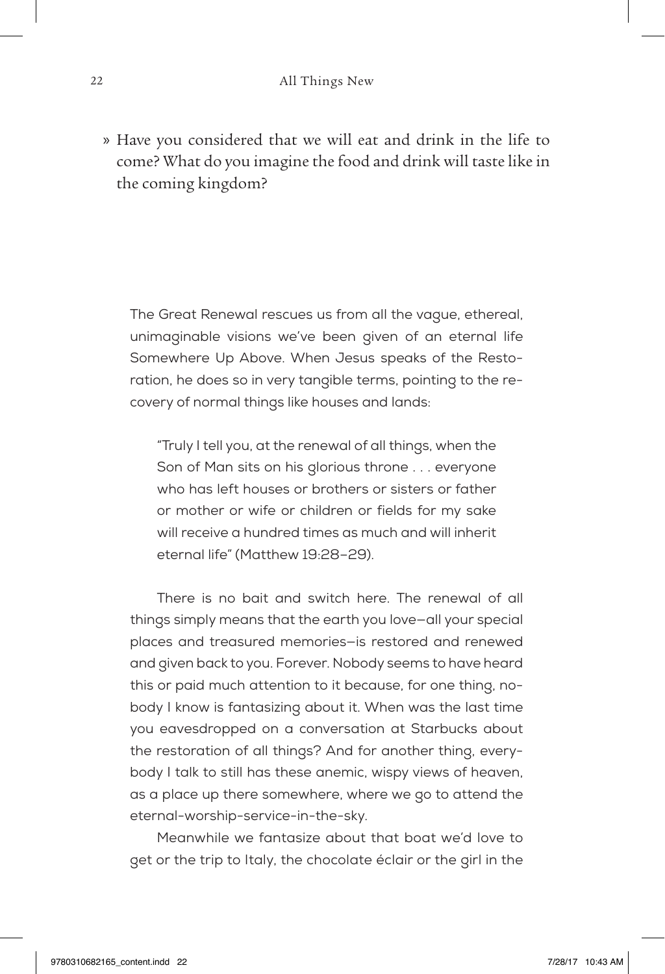» Have you considered that we will eat and drink in the life to come? What do you imagine the food and drink will taste like in the coming kingdom?

The Great Renewal rescues us from all the vague, ethereal, unimaginable visions we've been given of an eternal life Somewhere Up Above. When Jesus speaks of the Restoration, he does so in very tangible terms, pointing to the recovery of normal things like houses and lands:

"Truly I tell you, at the renewal of all things, when the Son of Man sits on his glorious throne . . . everyone who has left houses or brothers or sisters or father or mother or wife or children or fields for my sake will receive a hundred times as much and will inherit eternal life" (Matthew 19:28–29).

There is no bait and switch here. The renewal of all things simply means that the earth you love—all your special places and treasured memories—is restored and renewed and given back to you. Forever. Nobody seems to have heard this or paid much attention to it because, for one thing, nobody I know is fantasizing about it. When was the last time you eavesdropped on a conversation at Starbucks about the restoration of all things? And for another thing, everybody I talk to still has these anemic, wispy views of heaven, as a place up there somewhere, where we go to attend the eternal-worship-service-in-the-sky.

Meanwhile we fantasize about that boat we'd love to get or the trip to Italy, the chocolate éclair or the girl in the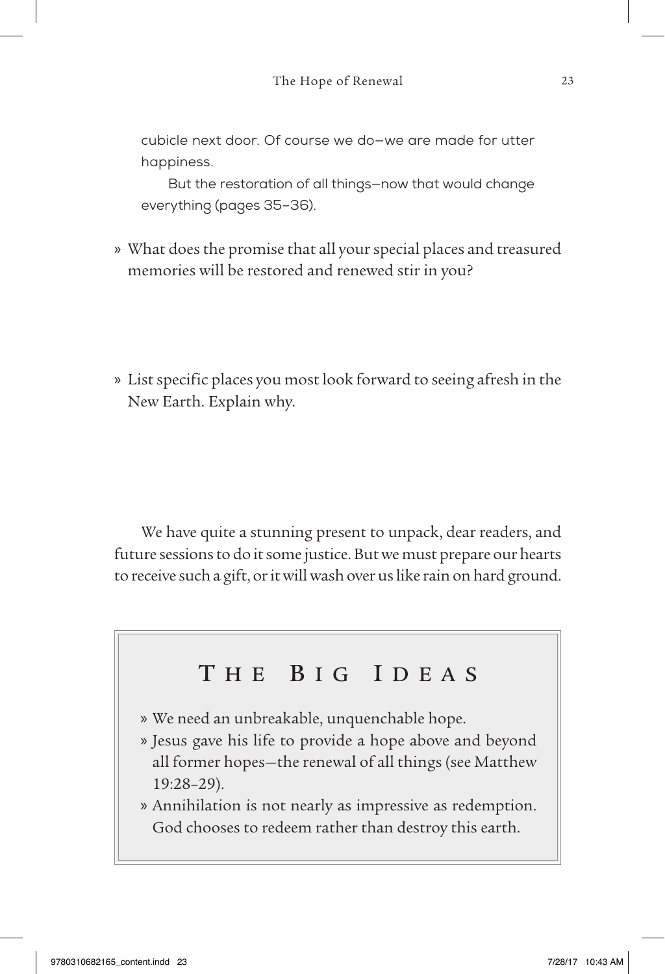cubicle next door. Of course we do—we are made for utter happiness.

But the restoration of all things—now that would change everything (pages 35–36).

- » What does the promise that all your special places and treasured memories will be restored and renewed stir in you?
- » List specific places you most look forward to seeing afresh in the New Earth. Explain why.

We have quite a stunning present to unpack, dear readers, and future sessions to do it some justice. But we must prepare our hearts to receive such a gift, or it will wash over us like rain on hard ground.

## THE BIG IDEAS

- » We need an unbreakable, unquenchable hope.
- » Jesus gave his life to provide a hope above and beyond all former hopes—the renewal of all things (see Matthew 19:28–29).
- » Annihilation is not nearly as impressive as redemption. God chooses to redeem rather than destroy this earth.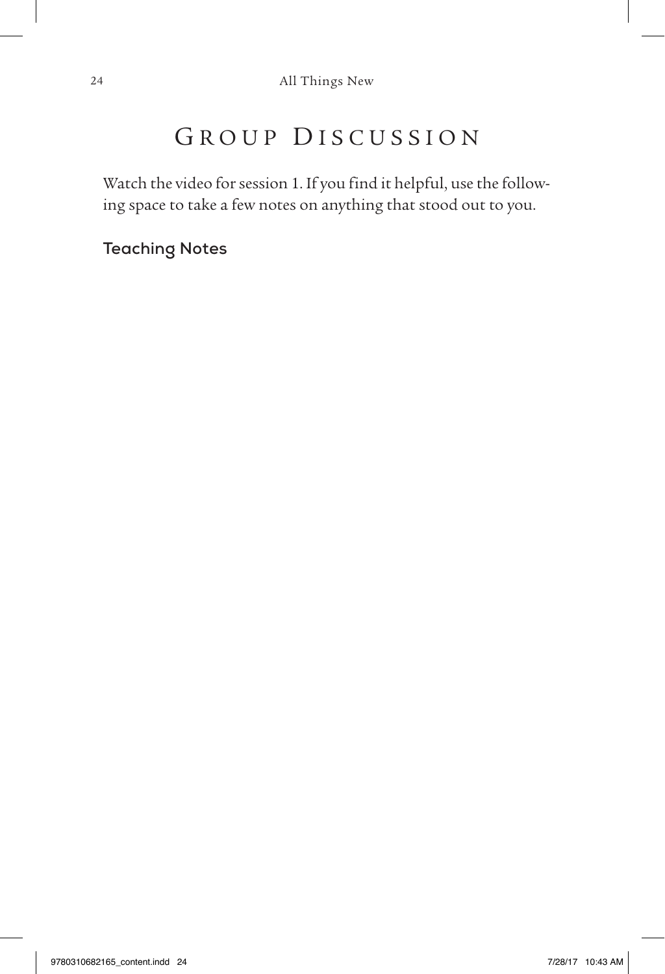# GROUP DISCUSSION

Watch the video for session 1. If you find it helpful, use the following space to take a few notes on anything that stood out to you.

### **Teaching Notes**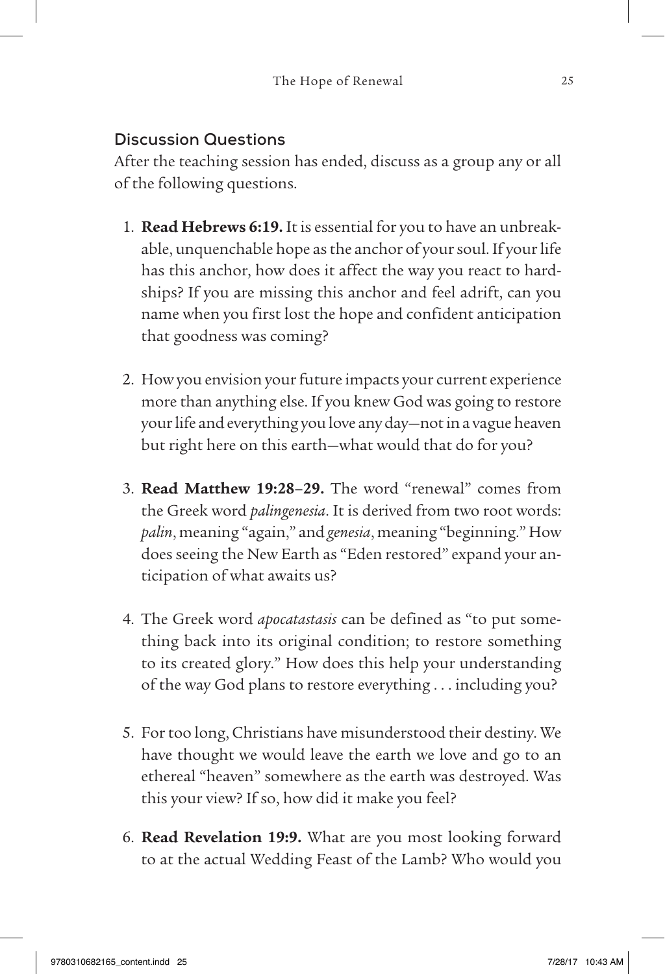## **Discussion Questions**

After the teaching session has ended, discuss as a group any or all of the following questions.

- 1. **Read Hebrews 6:19.** It is essential for you to have an unbreakable, unquenchable hope as the anchor of your soul. If your life has this anchor, how does it affect the way you react to hardships? If you are missing this anchor and feel adrift, can you name when you first lost the hope and confident anticipation that goodness was coming?
- 2. How you envision your future impacts your current experience more than anything else. If you knew God was going to restore your life and everything you love any day—not in a vague heaven but right here on this earth—what would that do for you?
- 3. **Read Matthew 19:28–29.** The word "renewal" comes from the Greek word *palingenesia*. It is derived from two root words: *palin*, meaning "again," and *genesia*, meaning "beginning." How does seeing the New Earth as "Eden restored" expand your anticipation of what awaits us?
- 4. The Greek word *apocatastasis* can be defined as "to put something back into its original condition; to restore something to its created glory." How does this help your understanding of the way God plans to restore everything . . . including you?
- 5. For too long, Christians have misunderstood their destiny. We have thought we would leave the earth we love and go to an ethereal "heaven" somewhere as the earth was destroyed. Was this your view? If so, how did it make you feel?
- 6. **Read Revelation 19:9.** What are you most looking forward to at the actual Wedding Feast of the Lamb? Who would you